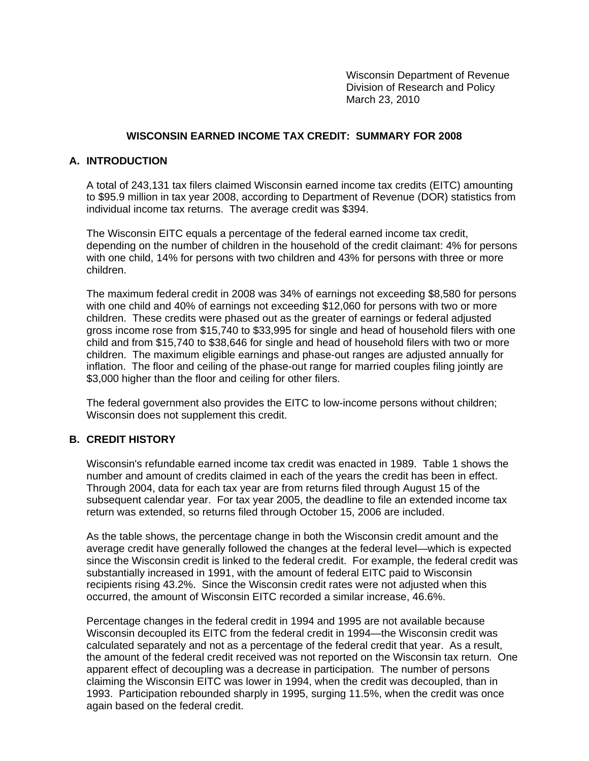Wisconsin Department of Revenue Division of Research and Policy March 23, 2010

### **WISCONSIN EARNED INCOME TAX CREDIT: SUMMARY FOR 2008**

### **A. INTRODUCTION**

A total of 243,131 tax filers claimed Wisconsin earned income tax credits (EITC) amounting to \$95.9 million in tax year 2008, according to Department of Revenue (DOR) statistics from individual income tax returns. The average credit was \$394.

The Wisconsin EITC equals a percentage of the federal earned income tax credit, depending on the number of children in the household of the credit claimant: 4% for persons with one child, 14% for persons with two children and 43% for persons with three or more children.

The maximum federal credit in 2008 was 34% of earnings not exceeding \$8,580 for persons with one child and 40% of earnings not exceeding \$12,060 for persons with two or more children. These credits were phased out as the greater of earnings or federal adjusted gross income rose from \$15,740 to \$33,995 for single and head of household filers with one child and from \$15,740 to \$38,646 for single and head of household filers with two or more children. The maximum eligible earnings and phase-out ranges are adjusted annually for inflation. The floor and ceiling of the phase-out range for married couples filing jointly are \$3,000 higher than the floor and ceiling for other filers.

The federal government also provides the EITC to low-income persons without children; Wisconsin does not supplement this credit.

### **B. CREDIT HISTORY**

Wisconsin's refundable earned income tax credit was enacted in 1989. Table 1 shows the number and amount of credits claimed in each of the years the credit has been in effect. Through 2004, data for each tax year are from returns filed through August 15 of the subsequent calendar year. For tax year 2005, the deadline to file an extended income tax return was extended, so returns filed through October 15, 2006 are included.

As the table shows, the percentage change in both the Wisconsin credit amount and the average credit have generally followed the changes at the federal level—which is expected since the Wisconsin credit is linked to the federal credit. For example, the federal credit was substantially increased in 1991, with the amount of federal EITC paid to Wisconsin recipients rising 43.2%. Since the Wisconsin credit rates were not adjusted when this occurred, the amount of Wisconsin EITC recorded a similar increase, 46.6%.

Percentage changes in the federal credit in 1994 and 1995 are not available because Wisconsin decoupled its EITC from the federal credit in 1994—the Wisconsin credit was calculated separately and not as a percentage of the federal credit that year. As a result, the amount of the federal credit received was not reported on the Wisconsin tax return. One apparent effect of decoupling was a decrease in participation. The number of persons claiming the Wisconsin EITC was lower in 1994, when the credit was decoupled, than in 1993. Participation rebounded sharply in 1995, surging 11.5%, when the credit was once again based on the federal credit.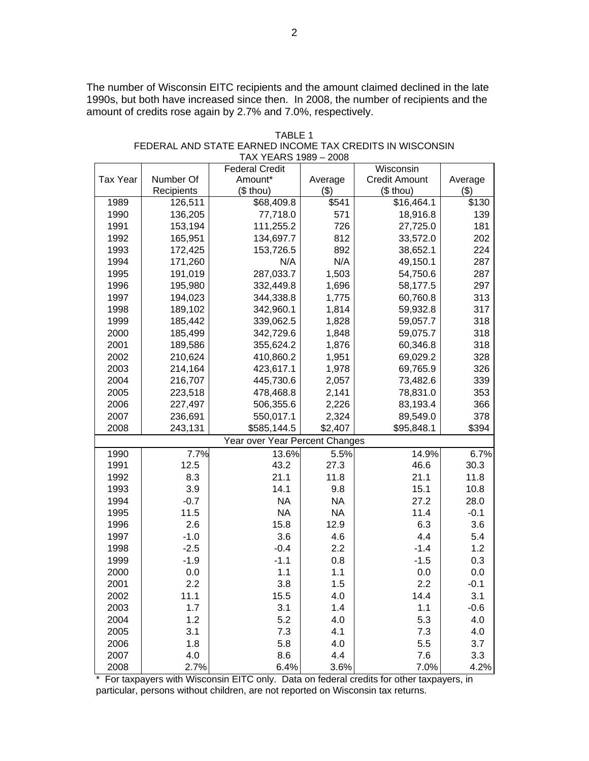The number of Wisconsin EITC recipients and the amount claimed declined in the late 1990s, but both have increased since then. In 2008, the number of recipients and the amount of credits rose again by 2.7% and 7.0%, respectively.

| Wisconsin<br><b>Federal Credit</b><br>Number Of<br><b>Credit Amount</b><br><b>Tax Year</b><br>Amount*<br>Average<br>Average<br>(\$ thou)<br>(3)<br>(\$ thou)<br>(3)<br>Recipients<br>\$16,464.1<br>\$68,409.8<br>\$541<br>\$130<br>1989<br>126,511<br>1990<br>136,205<br>77,718.0<br>571<br>18,916.8<br>139<br>1991<br>153,194<br>111,255.2<br>726<br>27,725.0<br>181<br>1992<br>165,951<br>134,697.7<br>812<br>202<br>33,572.0<br>1993<br>172,425<br>153,726.5<br>892<br>38,652.1<br>224<br>N/A<br>1994<br>171,260<br>N/A<br>287<br>49,150.1<br>1995<br>191,019<br>287,033.7<br>1,503<br>54,750.6<br>287<br>1996<br>195,980<br>332,449.8<br>297<br>1,696<br>58,177.5<br>1997<br>344,338.8<br>60,760.8<br>313<br>194,023<br>1,775<br>317<br>1998<br>342,960.1<br>189,102<br>1,814<br>59,932.8<br>1999<br>1,828<br>318<br>185,442<br>339,062.5<br>59,057.7<br>2000<br>185,499<br>318<br>342,729.6<br>1,848<br>59,075.7<br>2001<br>189,586<br>355,624.2<br>1,876<br>60,346.8<br>318<br>328<br>2002<br>210,624<br>410,860.2<br>1,951<br>69,029.2<br>2003<br>1,978<br>69,765.9<br>326<br>214,164<br>423,617.1<br>2004<br>216,707<br>445,730.6<br>2,057<br>73,482.6<br>339<br>2005<br>223,518<br>478,468.8<br>2,141<br>78,831.0<br>353<br>2006<br>227,497<br>506,355.6<br>2,226<br>83,193.4<br>366<br>2007<br>236,691<br>550,017.1<br>2,324<br>89,549.0<br>378<br>2008<br>243,131<br>\$585,144.5<br>\$2,407<br>\$95,848.1<br>\$394<br>Year over Year Percent Changes<br>7.7%<br>6.7%<br>1990<br>13.6%<br>5.5%<br>14.9%<br>1991<br>43.2<br>30.3<br>12.5<br>27.3<br>46.6<br>1992<br>8.3<br>21.1<br>11.8<br>21.1<br>11.8<br>1993<br>3.9<br>14.1<br>9.8<br>15.1<br>10.8 |
|----------------------------------------------------------------------------------------------------------------------------------------------------------------------------------------------------------------------------------------------------------------------------------------------------------------------------------------------------------------------------------------------------------------------------------------------------------------------------------------------------------------------------------------------------------------------------------------------------------------------------------------------------------------------------------------------------------------------------------------------------------------------------------------------------------------------------------------------------------------------------------------------------------------------------------------------------------------------------------------------------------------------------------------------------------------------------------------------------------------------------------------------------------------------------------------------------------------------------------------------------------------------------------------------------------------------------------------------------------------------------------------------------------------------------------------------------------------------------------------------------------------------------------------------------------------------------------------------------------------------------------------------------------------|
|                                                                                                                                                                                                                                                                                                                                                                                                                                                                                                                                                                                                                                                                                                                                                                                                                                                                                                                                                                                                                                                                                                                                                                                                                                                                                                                                                                                                                                                                                                                                                                                                                                                                |
|                                                                                                                                                                                                                                                                                                                                                                                                                                                                                                                                                                                                                                                                                                                                                                                                                                                                                                                                                                                                                                                                                                                                                                                                                                                                                                                                                                                                                                                                                                                                                                                                                                                                |
|                                                                                                                                                                                                                                                                                                                                                                                                                                                                                                                                                                                                                                                                                                                                                                                                                                                                                                                                                                                                                                                                                                                                                                                                                                                                                                                                                                                                                                                                                                                                                                                                                                                                |
|                                                                                                                                                                                                                                                                                                                                                                                                                                                                                                                                                                                                                                                                                                                                                                                                                                                                                                                                                                                                                                                                                                                                                                                                                                                                                                                                                                                                                                                                                                                                                                                                                                                                |
|                                                                                                                                                                                                                                                                                                                                                                                                                                                                                                                                                                                                                                                                                                                                                                                                                                                                                                                                                                                                                                                                                                                                                                                                                                                                                                                                                                                                                                                                                                                                                                                                                                                                |
|                                                                                                                                                                                                                                                                                                                                                                                                                                                                                                                                                                                                                                                                                                                                                                                                                                                                                                                                                                                                                                                                                                                                                                                                                                                                                                                                                                                                                                                                                                                                                                                                                                                                |
|                                                                                                                                                                                                                                                                                                                                                                                                                                                                                                                                                                                                                                                                                                                                                                                                                                                                                                                                                                                                                                                                                                                                                                                                                                                                                                                                                                                                                                                                                                                                                                                                                                                                |
|                                                                                                                                                                                                                                                                                                                                                                                                                                                                                                                                                                                                                                                                                                                                                                                                                                                                                                                                                                                                                                                                                                                                                                                                                                                                                                                                                                                                                                                                                                                                                                                                                                                                |
|                                                                                                                                                                                                                                                                                                                                                                                                                                                                                                                                                                                                                                                                                                                                                                                                                                                                                                                                                                                                                                                                                                                                                                                                                                                                                                                                                                                                                                                                                                                                                                                                                                                                |
|                                                                                                                                                                                                                                                                                                                                                                                                                                                                                                                                                                                                                                                                                                                                                                                                                                                                                                                                                                                                                                                                                                                                                                                                                                                                                                                                                                                                                                                                                                                                                                                                                                                                |
|                                                                                                                                                                                                                                                                                                                                                                                                                                                                                                                                                                                                                                                                                                                                                                                                                                                                                                                                                                                                                                                                                                                                                                                                                                                                                                                                                                                                                                                                                                                                                                                                                                                                |
|                                                                                                                                                                                                                                                                                                                                                                                                                                                                                                                                                                                                                                                                                                                                                                                                                                                                                                                                                                                                                                                                                                                                                                                                                                                                                                                                                                                                                                                                                                                                                                                                                                                                |
|                                                                                                                                                                                                                                                                                                                                                                                                                                                                                                                                                                                                                                                                                                                                                                                                                                                                                                                                                                                                                                                                                                                                                                                                                                                                                                                                                                                                                                                                                                                                                                                                                                                                |
|                                                                                                                                                                                                                                                                                                                                                                                                                                                                                                                                                                                                                                                                                                                                                                                                                                                                                                                                                                                                                                                                                                                                                                                                                                                                                                                                                                                                                                                                                                                                                                                                                                                                |
|                                                                                                                                                                                                                                                                                                                                                                                                                                                                                                                                                                                                                                                                                                                                                                                                                                                                                                                                                                                                                                                                                                                                                                                                                                                                                                                                                                                                                                                                                                                                                                                                                                                                |
|                                                                                                                                                                                                                                                                                                                                                                                                                                                                                                                                                                                                                                                                                                                                                                                                                                                                                                                                                                                                                                                                                                                                                                                                                                                                                                                                                                                                                                                                                                                                                                                                                                                                |
|                                                                                                                                                                                                                                                                                                                                                                                                                                                                                                                                                                                                                                                                                                                                                                                                                                                                                                                                                                                                                                                                                                                                                                                                                                                                                                                                                                                                                                                                                                                                                                                                                                                                |
|                                                                                                                                                                                                                                                                                                                                                                                                                                                                                                                                                                                                                                                                                                                                                                                                                                                                                                                                                                                                                                                                                                                                                                                                                                                                                                                                                                                                                                                                                                                                                                                                                                                                |
|                                                                                                                                                                                                                                                                                                                                                                                                                                                                                                                                                                                                                                                                                                                                                                                                                                                                                                                                                                                                                                                                                                                                                                                                                                                                                                                                                                                                                                                                                                                                                                                                                                                                |
|                                                                                                                                                                                                                                                                                                                                                                                                                                                                                                                                                                                                                                                                                                                                                                                                                                                                                                                                                                                                                                                                                                                                                                                                                                                                                                                                                                                                                                                                                                                                                                                                                                                                |
|                                                                                                                                                                                                                                                                                                                                                                                                                                                                                                                                                                                                                                                                                                                                                                                                                                                                                                                                                                                                                                                                                                                                                                                                                                                                                                                                                                                                                                                                                                                                                                                                                                                                |
|                                                                                                                                                                                                                                                                                                                                                                                                                                                                                                                                                                                                                                                                                                                                                                                                                                                                                                                                                                                                                                                                                                                                                                                                                                                                                                                                                                                                                                                                                                                                                                                                                                                                |
|                                                                                                                                                                                                                                                                                                                                                                                                                                                                                                                                                                                                                                                                                                                                                                                                                                                                                                                                                                                                                                                                                                                                                                                                                                                                                                                                                                                                                                                                                                                                                                                                                                                                |
|                                                                                                                                                                                                                                                                                                                                                                                                                                                                                                                                                                                                                                                                                                                                                                                                                                                                                                                                                                                                                                                                                                                                                                                                                                                                                                                                                                                                                                                                                                                                                                                                                                                                |
|                                                                                                                                                                                                                                                                                                                                                                                                                                                                                                                                                                                                                                                                                                                                                                                                                                                                                                                                                                                                                                                                                                                                                                                                                                                                                                                                                                                                                                                                                                                                                                                                                                                                |
|                                                                                                                                                                                                                                                                                                                                                                                                                                                                                                                                                                                                                                                                                                                                                                                                                                                                                                                                                                                                                                                                                                                                                                                                                                                                                                                                                                                                                                                                                                                                                                                                                                                                |
|                                                                                                                                                                                                                                                                                                                                                                                                                                                                                                                                                                                                                                                                                                                                                                                                                                                                                                                                                                                                                                                                                                                                                                                                                                                                                                                                                                                                                                                                                                                                                                                                                                                                |
|                                                                                                                                                                                                                                                                                                                                                                                                                                                                                                                                                                                                                                                                                                                                                                                                                                                                                                                                                                                                                                                                                                                                                                                                                                                                                                                                                                                                                                                                                                                                                                                                                                                                |
| <b>NA</b><br>1994<br>$-0.7$<br><b>NA</b><br>27.2<br>28.0                                                                                                                                                                                                                                                                                                                                                                                                                                                                                                                                                                                                                                                                                                                                                                                                                                                                                                                                                                                                                                                                                                                                                                                                                                                                                                                                                                                                                                                                                                                                                                                                       |
| <b>NA</b><br>1995<br>11.5<br><b>NA</b><br>11.4<br>$-0.1$                                                                                                                                                                                                                                                                                                                                                                                                                                                                                                                                                                                                                                                                                                                                                                                                                                                                                                                                                                                                                                                                                                                                                                                                                                                                                                                                                                                                                                                                                                                                                                                                       |
| 15.8<br>6.3<br>2.6<br>12.9<br>3.6<br>1996                                                                                                                                                                                                                                                                                                                                                                                                                                                                                                                                                                                                                                                                                                                                                                                                                                                                                                                                                                                                                                                                                                                                                                                                                                                                                                                                                                                                                                                                                                                                                                                                                      |
| 3.6<br>4.4<br>1997<br>$-1.0$<br>4.6<br>5.4                                                                                                                                                                                                                                                                                                                                                                                                                                                                                                                                                                                                                                                                                                                                                                                                                                                                                                                                                                                                                                                                                                                                                                                                                                                                                                                                                                                                                                                                                                                                                                                                                     |
| 2.2<br>1.2<br>1998<br>$-2.5$<br>$-0.4$<br>$-1.4$                                                                                                                                                                                                                                                                                                                                                                                                                                                                                                                                                                                                                                                                                                                                                                                                                                                                                                                                                                                                                                                                                                                                                                                                                                                                                                                                                                                                                                                                                                                                                                                                               |
| $-1.1$<br>$-1.9$<br>$-1.5$<br>0.3<br>1999<br>0.8                                                                                                                                                                                                                                                                                                                                                                                                                                                                                                                                                                                                                                                                                                                                                                                                                                                                                                                                                                                                                                                                                                                                                                                                                                                                                                                                                                                                                                                                                                                                                                                                               |
| 1.1<br>2000<br>0.0<br>1.1<br>0.0<br>0.0                                                                                                                                                                                                                                                                                                                                                                                                                                                                                                                                                                                                                                                                                                                                                                                                                                                                                                                                                                                                                                                                                                                                                                                                                                                                                                                                                                                                                                                                                                                                                                                                                        |
| 2.2<br>3.8<br>2.2<br>2001<br>1.5<br>$-0.1$                                                                                                                                                                                                                                                                                                                                                                                                                                                                                                                                                                                                                                                                                                                                                                                                                                                                                                                                                                                                                                                                                                                                                                                                                                                                                                                                                                                                                                                                                                                                                                                                                     |
| 11.1<br>14.4<br>3.1<br>2002<br>15.5<br>4.0                                                                                                                                                                                                                                                                                                                                                                                                                                                                                                                                                                                                                                                                                                                                                                                                                                                                                                                                                                                                                                                                                                                                                                                                                                                                                                                                                                                                                                                                                                                                                                                                                     |
| 1.4<br>2003<br>1.7<br>3.1<br>1.1<br>$-0.6$                                                                                                                                                                                                                                                                                                                                                                                                                                                                                                                                                                                                                                                                                                                                                                                                                                                                                                                                                                                                                                                                                                                                                                                                                                                                                                                                                                                                                                                                                                                                                                                                                     |
| 5.2<br>5.3<br>2004<br>1.2<br>4.0<br>4.0                                                                                                                                                                                                                                                                                                                                                                                                                                                                                                                                                                                                                                                                                                                                                                                                                                                                                                                                                                                                                                                                                                                                                                                                                                                                                                                                                                                                                                                                                                                                                                                                                        |
| 2005<br>3.1<br>7.3<br>4.1<br>7.3<br>4.0                                                                                                                                                                                                                                                                                                                                                                                                                                                                                                                                                                                                                                                                                                                                                                                                                                                                                                                                                                                                                                                                                                                                                                                                                                                                                                                                                                                                                                                                                                                                                                                                                        |
| 5.8<br>2006<br>1.8<br>4.0<br>5.5<br>3.7                                                                                                                                                                                                                                                                                                                                                                                                                                                                                                                                                                                                                                                                                                                                                                                                                                                                                                                                                                                                                                                                                                                                                                                                                                                                                                                                                                                                                                                                                                                                                                                                                        |
| 2007<br>4.0<br>8.6<br>4.4<br>7.6<br>3.3                                                                                                                                                                                                                                                                                                                                                                                                                                                                                                                                                                                                                                                                                                                                                                                                                                                                                                                                                                                                                                                                                                                                                                                                                                                                                                                                                                                                                                                                                                                                                                                                                        |
| 2008<br>2.7%<br>6.4%<br>3.6%<br>7.0%<br>4.2%                                                                                                                                                                                                                                                                                                                                                                                                                                                                                                                                                                                                                                                                                                                                                                                                                                                                                                                                                                                                                                                                                                                                                                                                                                                                                                                                                                                                                                                                                                                                                                                                                   |

TABLE 1 FEDERAL AND STATE EARNED INCOME TAX CREDITS IN WISCONSIN TAX YEARS 1989 – 2008

\* For taxpayers with Wisconsin EITC only. Data on federal credits for other taxpayers, in particular, persons without children, are not reported on Wisconsin tax returns.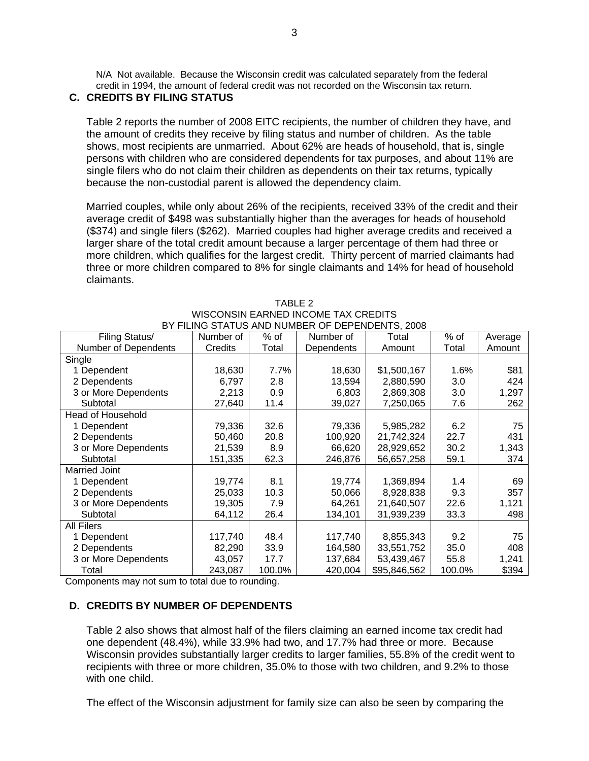N/A Not available. Because the Wisconsin credit was calculated separately from the federal credit in 1994, the amount of federal credit was not recorded on the Wisconsin tax return.

# **C. CREDITS BY FILING STATUS**

Table 2 reports the number of 2008 EITC recipients, the number of children they have, and the amount of credits they receive by filing status and number of children. As the table shows, most recipients are unmarried. About 62% are heads of household, that is, single persons with children who are considered dependents for tax purposes, and about 11% are single filers who do not claim their children as dependents on their tax returns, typically because the non-custodial parent is allowed the dependency claim.

Married couples, while only about 26% of the recipients, received 33% of the credit and their average credit of \$498 was substantially higher than the averages for heads of household (\$374) and single filers (\$262). Married couples had higher average credits and received a larger share of the total credit amount because a larger percentage of them had three or more children, which qualifies for the largest credit. Thirty percent of married claimants had three or more children compared to 8% for single claimants and 14% for head of household claimants.

| Filing Status/              | Number of | % of   | Number of  | Total        | % of   | Average |  |
|-----------------------------|-----------|--------|------------|--------------|--------|---------|--|
| <b>Number of Dependents</b> | Credits   | Total  | Dependents | Amount       | Total  | Amount  |  |
| Single                      |           |        |            |              |        |         |  |
| 1 Dependent                 | 18,630    | 7.7%   | 18,630     | \$1,500,167  | 1.6%   | \$81    |  |
| 2 Dependents                | 6,797     | 2.8    | 13,594     | 2,880,590    | 3.0    | 424     |  |
| 3 or More Dependents        | 2,213     | 0.9    | 6,803      | 2,869,308    | 3.0    | 1,297   |  |
| Subtotal                    | 27,640    | 11.4   | 39,027     | 7,250,065    | 7.6    | 262     |  |
| <b>Head of Household</b>    |           |        |            |              |        |         |  |
| 1 Dependent                 | 79,336    | 32.6   | 79,336     | 5,985,282    | 6.2    | 75      |  |
| 2 Dependents                | 50,460    | 20.8   | 100,920    | 21,742,324   | 22.7   | 431     |  |
| 3 or More Dependents        | 21,539    | 8.9    | 66,620     | 28,929,652   | 30.2   | 1,343   |  |
| Subtotal                    | 151,335   | 62.3   | 246,876    | 56,657,258   | 59.1   | 374     |  |
| <b>Married Joint</b>        |           |        |            |              |        |         |  |
| 1 Dependent                 | 19,774    | 8.1    | 19,774     | 1,369,894    | 1.4    | 69      |  |
| 2 Dependents                | 25,033    | 10.3   | 50,066     | 8,928,838    | 9.3    | 357     |  |
| 3 or More Dependents        | 19,305    | 7.9    | 64,261     | 21,640,507   | 22.6   | 1,121   |  |
| Subtotal                    | 64,112    | 26.4   | 134,101    | 31,939,239   | 33.3   | 498     |  |
| <b>All Filers</b>           |           |        |            |              |        |         |  |
| 1 Dependent                 | 117,740   | 48.4   | 117,740    | 8,855,343    | 9.2    | 75      |  |
| 2 Dependents                | 82,290    | 33.9   | 164,580    | 33,551,752   | 35.0   | 408     |  |
| 3 or More Dependents        | 43,057    | 17.7   | 137,684    | 53,439,467   | 55.8   | 1,241   |  |
| Total                       | 243,087   | 100.0% | 420,004    | \$95,846,562 | 100.0% | \$394   |  |

| TABLE 2                                         |  |
|-------------------------------------------------|--|
| WISCONSIN EARNED INCOME TAX CREDITS             |  |
| BY FILING STATUS AND NUMBER OF DEPENDENTS, 2008 |  |

Components may not sum to total due to rounding.

### **D. CREDITS BY NUMBER OF DEPENDENTS**

Table 2 also shows that almost half of the filers claiming an earned income tax credit had one dependent (48.4%), while 33.9% had two, and 17.7% had three or more. Because Wisconsin provides substantially larger credits to larger families, 55.8% of the credit went to recipients with three or more children, 35.0% to those with two children, and 9.2% to those with one child.

The effect of the Wisconsin adjustment for family size can also be seen by comparing the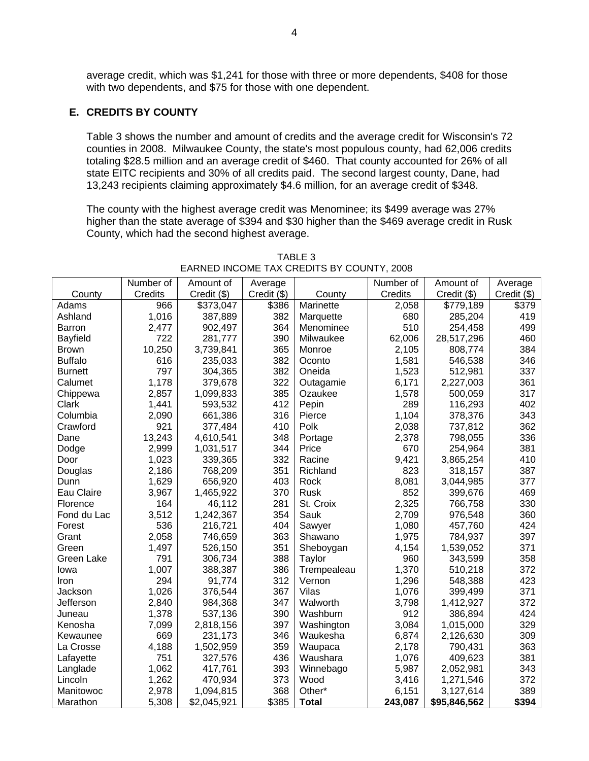average credit, which was \$1,241 for those with three or more dependents, \$408 for those with two dependents, and \$75 for those with one dependent.

### **E. CREDITS BY COUNTY**

Table 3 shows the number and amount of credits and the average credit for Wisconsin's 72 counties in 2008. Milwaukee County, the state's most populous county, had 62,006 credits totaling \$28.5 million and an average credit of \$460. That county accounted for 26% of all state EITC recipients and 30% of all credits paid. The second largest county, Dane, had 13,243 recipients claiming approximately \$4.6 million, for an average credit of \$348.

The county with the highest average credit was Menominee; its \$499 average was 27% higher than the state average of \$394 and \$30 higher than the \$469 average credit in Rusk County, which had the second highest average.

|                   | Number of | Amount of   | Average     |              | Number of | Amount of    | Average       |
|-------------------|-----------|-------------|-------------|--------------|-----------|--------------|---------------|
| County            | Credits   | Credit (\$) | Credit (\$) | County       | Credits   | Credit (\$)  | $Credit$ (\$) |
| Adams             | 966       | \$373,047   | \$386       | Marinette    | 2,058     | \$779,189    | \$379         |
| Ashland           | 1,016     | 387,889     | 382         | Marquette    | 680       | 285,204      | 419           |
| <b>Barron</b>     | 2,477     | 902,497     | 364         | Menominee    | 510       | 254,458      | 499           |
| <b>Bayfield</b>   | 722       | 281,777     | 390         | Milwaukee    | 62,006    | 28,517,296   | 460           |
| <b>Brown</b>      | 10,250    | 3,739,841   | 365         | Monroe       | 2,105     | 808,774      | 384           |
| <b>Buffalo</b>    | 616       | 235,033     | 382         | Oconto       | 1,581     | 546,538      | 346           |
| <b>Burnett</b>    | 797       | 304,365     | 382         | Oneida       | 1,523     | 512,981      | 337           |
| Calumet           | 1,178     | 379,678     | 322         | Outagamie    | 6,171     | 2,227,003    | 361           |
| Chippewa          | 2,857     | 1,099,833   | 385         | Ozaukee      | 1,578     | 500,059      | 317           |
| Clark             | 1,441     | 593,532     | 412         | Pepin        | 289       | 116,293      | 402           |
| Columbia          | 2,090     | 661,386     | 316         | Pierce       | 1,104     | 378,376      | 343           |
| Crawford          | 921       | 377,484     | 410         | Polk         | 2,038     | 737,812      | 362           |
| Dane              | 13,243    | 4,610,541   | 348         | Portage      | 2,378     | 798,055      | 336           |
| Dodge             | 2,999     | 1,031,517   | 344         | Price        | 670       | 254,964      | 381           |
| Door              | 1,023     | 339,365     | 332         | Racine       | 9,421     | 3,865,254    | 410           |
| Douglas           | 2,186     | 768,209     | 351         | Richland     | 823       | 318,157      | 387           |
| Dunn              | 1,629     | 656,920     | 403         | Rock         | 8,081     | 3,044,985    | 377           |
| Eau Claire        | 3,967     | 1,465,922   | 370         | Rusk         | 852       | 399,676      | 469           |
| Florence          | 164       | 46,112      | 281         | St. Croix    | 2,325     | 766,758      | 330           |
| Fond du Lac       | 3,512     | 1,242,367   | 354         | Sauk         | 2,709     | 976,548      | 360           |
| Forest            | 536       | 216,721     | 404         | Sawyer       | 1,080     | 457,760      | 424           |
| Grant             | 2,058     | 746,659     | 363         | Shawano      | 1,975     | 784,937      | 397           |
| Green             | 1,497     | 526,150     | 351         | Sheboygan    | 4,154     | 1,539,052    | 371           |
| <b>Green Lake</b> | 791       | 306,734     | 388         | Taylor       | 960       | 343,599      | 358           |
| lowa              | 1,007     | 388,387     | 386         | Trempealeau  | 1,370     | 510,218      | 372           |
| Iron              | 294       | 91,774      | 312         | Vernon       | 1,296     | 548,388      | 423           |
| Jackson           | 1,026     | 376,544     | 367         | Vilas        | 1,076     | 399,499      | 371           |
| Jefferson         | 2,840     | 984,368     | 347         | Walworth     | 3,798     | 1,412,927    | 372           |
| Juneau            | 1,378     | 537,136     | 390         | Washburn     | 912       | 386,894      | 424           |
| Kenosha           | 7,099     | 2,818,156   | 397         | Washington   | 3,084     | 1,015,000    | 329           |
| Kewaunee          | 669       | 231,173     | 346         | Waukesha     | 6,874     | 2,126,630    | 309           |
| La Crosse         | 4,188     | 1,502,959   | 359         | Waupaca      | 2,178     | 790,431      | 363           |
| Lafayette         | 751       | 327,576     | 436         | Waushara     | 1,076     | 409,623      | 381           |
| Langlade          | 1,062     | 417,761     | 393         | Winnebago    | 5,987     | 2,052,981    | 343           |
| Lincoln           | 1,262     | 470,934     | 373         | Wood         | 3,416     | 1,271,546    | 372           |
| Manitowoc         | 2,978     | 1,094,815   | 368         | Other*       | 6,151     | 3,127,614    | 389           |
| Marathon          | 5,308     | \$2,045,921 | \$385       | <b>Total</b> | 243,087   | \$95,846,562 | \$394         |

TABLE 3 EARNED INCOME TAX CREDITS BY COUNTY, 2008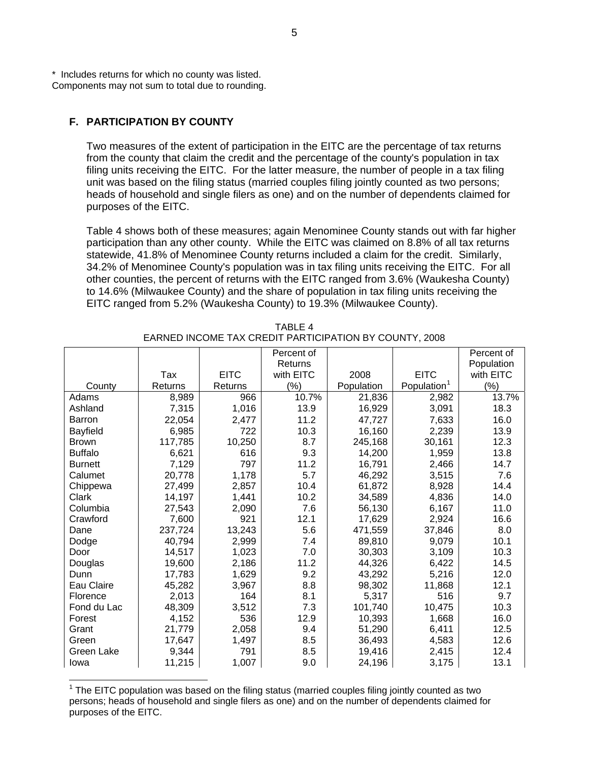\* Includes returns for which no county was listed. Components may not sum to total due to rounding.

## **F. PARTICIPATION BY COUNTY**

Two measures of the extent of participation in the EITC are the percentage of tax returns from the county that claim the credit and the percentage of the county's population in tax filing units receiving the EITC. For the latter measure, the number of people in a tax filing unit was based on the filing status (married couples filing jointly counted as two persons; heads of household and single filers as one) and on the number of dependents claimed for purposes of the EITC.

Table 4 shows both of these measures; again Menominee County stands out with far higher participation than any other county. While the EITC was claimed on 8.8% of all tax returns statewide, 41.8% of Menominee County returns included a claim for the credit. Similarly, 34.2% of Menominee County's population was in tax filing units receiving the EITC. For all other counties, the percent of returns with the EITC ranged from 3.6% (Waukesha County) to 14.6% (Milwaukee County) and the share of population in tax filing units receiving the EITC ranged from 5.2% (Waukesha County) to 19.3% (Milwaukee County).

|                |         |             | Percent of |            |                         | Percent of |
|----------------|---------|-------------|------------|------------|-------------------------|------------|
|                |         |             | Returns    |            |                         | Population |
|                | Tax     | <b>EITC</b> | with EITC  | 2008       | <b>EITC</b>             | with EITC  |
| County         | Returns | Returns     | $(\%)$     | Population | Population <sup>1</sup> | $(\%)$     |
| Adams          | 8,989   | 966         | 10.7%      | 21,836     | 2,982                   | 13.7%      |
| Ashland        | 7,315   | 1,016       | 13.9       | 16,929     | 3,091                   | 18.3       |
| <b>Barron</b>  | 22,054  | 2,477       | 11.2       | 47.727     | 7,633                   | 16.0       |
| Bayfield       | 6,985   | 722         | 10.3       | 16,160     | 2,239                   | 13.9       |
| <b>Brown</b>   | 117,785 | 10,250      | 8.7        | 245,168    | 30,161                  | 12.3       |
| <b>Buffalo</b> | 6,621   | 616         | 9.3        | 14,200     | 1,959                   | 13.8       |
| <b>Burnett</b> | 7,129   | 797         | 11.2       | 16,791     | 2,466                   | 14.7       |
| Calumet        | 20,778  | 1,178       | 5.7        | 46,292     | 3,515                   | 7.6        |
| Chippewa       | 27,499  | 2,857       | 10.4       | 61,872     | 8,928                   | 14.4       |
| Clark          | 14,197  | 1,441       | 10.2       | 34,589     | 4,836                   | 14.0       |
| Columbia       | 27,543  | 2,090       | 7.6        | 56,130     | 6,167                   | 11.0       |
| Crawford       | 7,600   | 921         | 12.1       | 17,629     | 2,924                   | 16.6       |
| Dane           | 237,724 | 13,243      | 5.6        | 471,559    | 37,846                  | 8.0        |
| Dodge          | 40,794  | 2,999       | 7.4        | 89,810     | 9,079                   | 10.1       |
| Door           | 14,517  | 1,023       | 7.0        | 30,303     | 3,109                   | 10.3       |
| Douglas        | 19,600  | 2,186       | 11.2       | 44,326     | 6,422                   | 14.5       |
| Dunn           | 17,783  | 1,629       | 9.2        | 43,292     | 5,216                   | 12.0       |
| Eau Claire     | 45,282  | 3,967       | 8.8        | 98,302     | 11,868                  | 12.1       |
| Florence       | 2,013   | 164         | 8.1        | 5,317      | 516                     | 9.7        |
| Fond du Lac    | 48,309  | 3,512       | 7.3        | 101,740    | 10,475                  | 10.3       |
| Forest         | 4,152   | 536         | 12.9       | 10,393     | 1,668                   | 16.0       |
| Grant          | 21,779  | 2,058       | 9.4        | 51,290     | 6,411                   | 12.5       |
| Green          | 17,647  | 1,497       | 8.5        | 36,493     | 4,583                   | 12.6       |
| Green Lake     | 9,344   | 791         | 8.5        | 19,416     | 2,415                   | 12.4       |
| Iowa           | 11,215  | 1,007       | 9.0        | 24,196     | 3,175                   | 13.1       |

TABLE 4 EARNED INCOME TAX CREDIT PARTICIPATION BY COUNTY, 2008

<span id="page-4-0"></span>THE EITC population was based on the filing status (married couples filing jointly counted as two the EITC population was based on the filing status (married couples filing jointly counted as two persons; heads of household and single filers as one) and on the number of dependents claimed for purposes of the EITC.